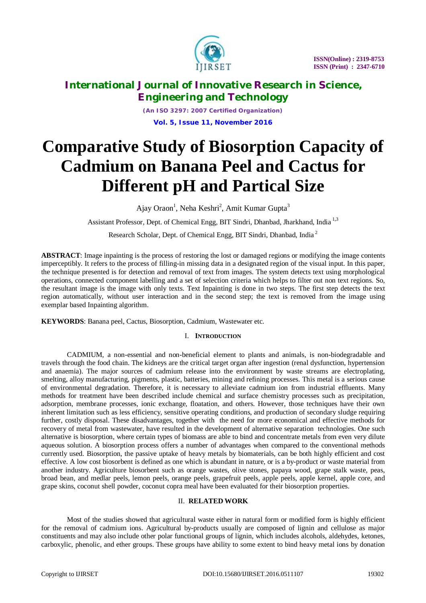

*(An ISO 3297: 2007 Certified Organization)* **Vol. 5, Issue 11, November 2016**

# **Comparative Study of Biosorption Capacity of Cadmium on Banana Peel and Cactus for Different pH and Partical Size**

Ajay Oraon<sup>1</sup>, Neha Keshri<sup>2</sup>, Amit Kumar Gupta<sup>3</sup>

Assistant Professor, Dept. of Chemical Engg, BIT Sindri, Dhanbad, Jharkhand, India<sup>1,3</sup>

Research Scholar, Dept. of Chemical Engg, BIT Sindri, Dhanbad, India <sup>2</sup>

**ABSTRACT**: Image inpainting is the process of restoring the lost or damaged regions or modifying the image contents imperceptibly. It refers to the process of filling-in missing data in a designated region of the visual input. In this paper, the technique presented is for detection and removal of text from images. The system detects text using morphological operations, connected component labelling and a set of selection criteria which helps to filter out non text regions. So, the resultant image is the image with only texts. Text Inpainting is done in two steps. The first step detects the text region automatically, without user interaction and in the second step; the text is removed from the image using exemplar based Inpainting algorithm.

**KEYWORDS**: Banana peel, Cactus, Biosorption, Cadmium, Wastewater etc.

## I. **INTRODUCTION**

CADMIUM, a non-essential and non-beneficial element to plants and animals, is non-biodegradable and travels through the food chain. The kidneys are the critical target organ after ingestion (renal dysfunction, hypertension and anaemia). The major sources of cadmium release into the environment by waste streams are electroplating, smelting, alloy manufacturing, pigments, plastic, batteries, mining and refining processes. This metal is a serious cause of environmental degradation. Therefore, it is necessary to alleviate cadmium ion from industrial effluents. Many methods for treatment have been described include chemical and surface chemistry processes such as precipitation, adsorption, membrane processes, ionic exchange, floatation, and others. However, those techniques have their own inherent limitation such as less efficiency, sensitive operating conditions, and production of secondary sludge requiring further, costly disposal. These disadvantages, together with the need for more economical and effective methods for recovery of metal from wastewater, have resulted in the development of alternative separation technologies. One such alternative is biosorption, where certain types of biomass are able to bind and concentrate metals from even very dilute aqueous solution. A biosorption process offers a number of advantages when compared to the conventional methods currently used. Biosorption, the passive uptake of heavy metals by biomaterials, can be both highly efficient and cost effective. A low cost biosorbent is defined as one which is abundant in nature, or is a by-product or waste material from another industry. Agriculture biosorbent such as orange wastes, olive stones, papaya wood, grape stalk waste, peas, broad bean, and medlar peels, lemon peels, orange peels, grapefruit peels, apple peels, apple kernel, apple core, and grape skins, coconut shell powder, coconut copra meal have been evaluated for their biosorption properties.

## II. **RELATED WORK**

Most of the studies showed that agricultural waste either in natural form or modified form is highly efficient for the removal of cadmium ions. Agricultural by-products usually are composed of lignin and cellulose as major constituents and may also include other polar functional groups of lignin, which includes alcohols, aldehydes, ketones, carboxylic, phenolic, and ether groups. These groups have ability to some extent to bind heavy metal ions by donation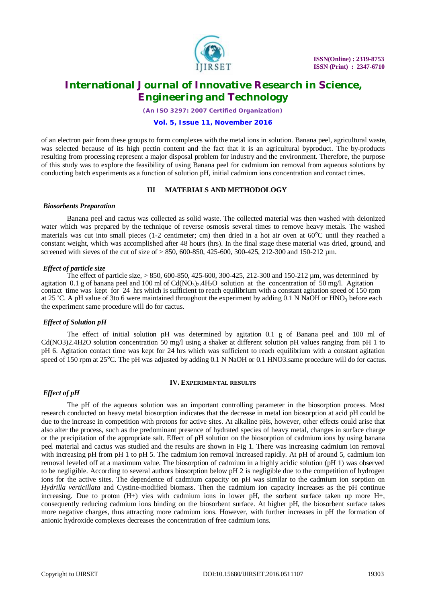

*(An ISO 3297: 2007 Certified Organization)*

#### **Vol. 5, Issue 11, November 2016**

of an electron pair from these groups to form complexes with the metal ions in solution. Banana peel, agricultural waste, was selected because of its high pectin content and the fact that it is an agricultural byproduct. The by-products resulting from processing represent a major disposal problem for industry and the environment. Therefore, the purpose of this study was to explore the feasibility of using Banana peel for cadmium ion removal from aqueous solutions by conducting batch experiments as a function of solution pH, initial cadmium ions concentration and contact times.

#### **III MATERIALS AND METHODOLOGY**

#### *Biosorbents Preparation*

Banana peel and cactus was collected as solid waste. The collected material was then washed with deionized water which was prepared by the technique of reverse osmosis several times to remove heavy metals. The washed materials was cut into small pieces (1-2 centimeter; cm) then dried in a hot air oven at  $60^{\circ}$ C until they reached a constant weight, which was accomplished after 48 hours (hrs). In the final stage these material was dried, ground, and screened with sieves of the cut of size of > 850, 600-850, 425-600, 300-425, 212-300 and 150-212 µm.

#### *Effect of particle size*

The effect of particle size,  $> 850$ , 600-850, 425-600, 300-425, 212-300 and 150-212 µm, was determined by agitation 0.1 g of banana peel and 100 ml of  $Cd(NO<sub>3</sub>)<sub>2</sub>,4H<sub>2</sub>O$  solution at the concentration of 50 mg/l. Agitation contact time was kept for 24 hrs which is sufficient to reach equilibrium with a constant agitation speed of 150 rpm at 25 °C. A pH value of 3to 6 were maintained throughout the experiment by adding 0.1 N NaOH or HNO<sub>3</sub> before each the experiment same procedure will do for cactus.

#### *Effect of Solution pH*

The effect of initial solution pH was determined by agitation 0.1 g of Banana peel and 100 ml of Cd(NO3)2.4H2O solution concentration 50 mg/l using a shaker at different solution pH values ranging from pH 1 to pH 6. Agitation contact time was kept for 24 hrs which was sufficient to reach equilibrium with a constant agitation speed of 150 rpm at 25<sup>o</sup>C. The pH was adjusted by adding 0.1 N NaOH or 0.1 HNO3.same procedure will do for cactus.

#### **IV. EXPERIMENTAL RESULTS**

## *Effect of pH*

The pH of the aqueous solution was an important controlling parameter in the biosorption process. Most research conducted on heavy metal biosorption indicates that the decrease in metal ion biosorption at acid pH could be due to the increase in competition with protons for active sites. At alkaline pHs, however, other effects could arise that also alter the process, such as the predominant presence of hydrated species of heavy metal, changes in surface charge or the precipitation of the appropriate salt. Effect of pH solution on the biosorption of cadmium ions by using banana peel material and cactus was studied and the results are shown in Fig 1. There was increasing cadmium ion removal with increasing pH from pH 1 to pH 5. The cadmium ion removal increased rapidly. At pH of around 5, cadmium ion removal leveled off at a maximum value. The biosorption of cadmium in a highly acidic solution (pH 1) was observed to be negligible. According to several authors biosorption below pH 2 is negligible due to the competition of hydrogen ions for the active sites. The dependence of cadmium capacity on pH was similar to the cadmium ion sorption on *Hydrilla verticillata* and Cystine-modified biomass. Then the cadmium ion capacity increases as the pH continue increasing. Due to proton (H+) vies with cadmium ions in lower pH, the sorbent surface taken up more H+, consequently reducing cadmium ions binding on the biosorbent surface. At higher pH, the biosorbent surface takes more negative charges, thus attracting more cadmium ions. However, with further increases in pH the formation of anionic hydroxide complexes decreases the concentration of free cadmium ions.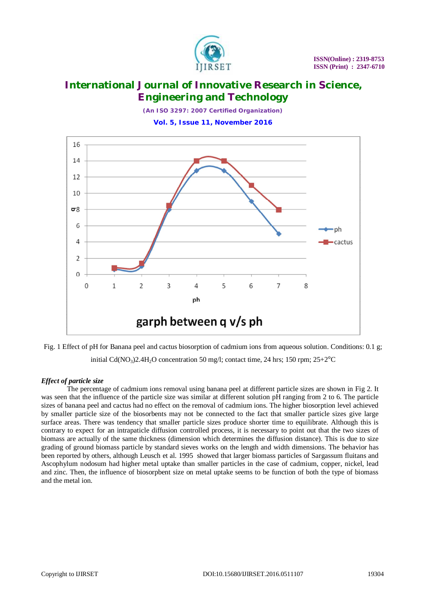

*(An ISO 3297: 2007 Certified Organization)*

**Vol. 5, Issue 11, November 2016**





## *Effect of particle size*

The percentage of cadmium ions removal using banana peel at different particle sizes are shown in Fig 2. It was seen that the influence of the particle size was similar at different solution pH ranging from 2 to 6. The particle sizes of banana peel and cactus had no effect on the removal of cadmium ions. The higher biosorption level achieved by smaller particle size of the biosorbents may not be connected to the fact that smaller particle sizes give large surface areas. There was tendency that smaller particle sizes produce shorter time to equilibrate. Although this is contrary to expect for an intrapaticle diffusion controlled process, it is necessary to point out that the two sizes of biomass are actually of the same thickness (dimension which determines the diffusion distance). This is due to size grading of ground biomass particle by standard sieves works on the length and width dimensions. The behavior has been reported by others, although Leusch et al. 1995 showed that larger biomass particles of Sargassum fluitans and Ascophylum nodosum had higher metal uptake than smaller particles in the case of cadmium, copper, nickel, lead and zinc. Then, the influence of biosorpbent size on metal uptake seems to be function of both the type of biomass and the metal ion.